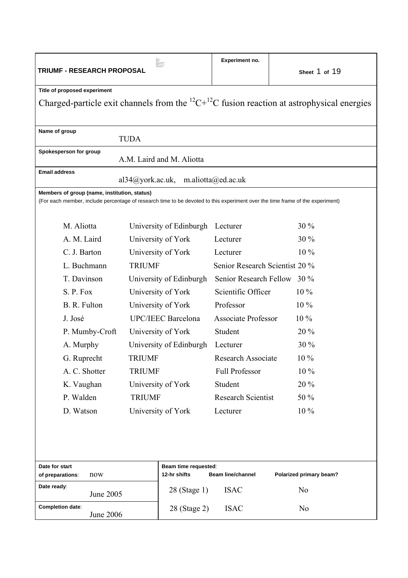| TRIUMF - RESEARCH PROPOSAL                                                                                                                                                    |                                      | Experiment no.                   | Sheet 1 of 19           |  |  |  |  |  |
|-------------------------------------------------------------------------------------------------------------------------------------------------------------------------------|--------------------------------------|----------------------------------|-------------------------|--|--|--|--|--|
| Title of proposed experiment                                                                                                                                                  |                                      |                                  |                         |  |  |  |  |  |
| Charged-particle exit channels from the <sup>12</sup> C+ <sup>12</sup> C fusion reaction at astrophysical energies                                                            |                                      |                                  |                         |  |  |  |  |  |
| Name of group<br><b>TUDA</b>                                                                                                                                                  |                                      |                                  |                         |  |  |  |  |  |
| Spokesperson for group                                                                                                                                                        | A.M. Laird and M. Aliotta            |                                  |                         |  |  |  |  |  |
| <b>Email address</b>                                                                                                                                                          | al34@york.ac.uk, m.aliotta@ed.ac.uk  |                                  |                         |  |  |  |  |  |
| Members of group (name, institution, status)<br>(For each member, include percentage of research time to be devoted to this experiment over the time frame of the experiment) |                                      |                                  |                         |  |  |  |  |  |
| M. Aliotta                                                                                                                                                                    | University of Edinburgh              | Lecturer                         | $30\%$                  |  |  |  |  |  |
| A. M. Laird                                                                                                                                                                   | University of York                   | Lecturer                         | $30\%$                  |  |  |  |  |  |
| C. J. Barton                                                                                                                                                                  | University of York                   | Lecturer                         | $10\%$                  |  |  |  |  |  |
| L. Buchmann                                                                                                                                                                   | <b>TRIUMF</b>                        | Senior Research Scientist 20 %   |                         |  |  |  |  |  |
| T. Davinson                                                                                                                                                                   | University of Edinburgh              | Senior Research Fellow<br>$30\%$ |                         |  |  |  |  |  |
| S. P. Fox                                                                                                                                                                     | University of York                   | Scientific Officer               | $10\%$                  |  |  |  |  |  |
| B. R. Fulton                                                                                                                                                                  | University of York                   | Professor                        | 10 %                    |  |  |  |  |  |
| J. José                                                                                                                                                                       | <b>UPC/IEEC Barcelona</b>            | <b>Associate Professor</b>       | $10\%$                  |  |  |  |  |  |
| P. Mumby-Croft                                                                                                                                                                | University of York                   | Student                          | $20\%$                  |  |  |  |  |  |
| A. Murphy                                                                                                                                                                     | University of Edinburgh              | Lecturer                         | 30 %                    |  |  |  |  |  |
| G. Ruprecht                                                                                                                                                                   | <b>TRIUMF</b>                        | Research Associate               | $10\%$                  |  |  |  |  |  |
| A. C. Shotter                                                                                                                                                                 | <b>TRIUMF</b>                        | Full Professor                   | $10\%$                  |  |  |  |  |  |
| K. Vaughan                                                                                                                                                                    | University of York                   | Student                          | 20 %                    |  |  |  |  |  |
| P. Walden                                                                                                                                                                     | <b>TRIUMF</b>                        | <b>Research Scientist</b>        | 50 %                    |  |  |  |  |  |
| D. Watson                                                                                                                                                                     | University of York                   | Lecturer                         | 10 %                    |  |  |  |  |  |
|                                                                                                                                                                               |                                      |                                  |                         |  |  |  |  |  |
| Date for start<br>now<br>of preparations:                                                                                                                                     | Beam time requested:<br>12-hr shifts | <b>Beam line/channel</b>         | Polarized primary beam? |  |  |  |  |  |
| Date ready:<br>June 2005                                                                                                                                                      | 28 (Stage 1)                         | <b>ISAC</b>                      | N <sub>0</sub>          |  |  |  |  |  |
| Completion date:<br>June 2006                                                                                                                                                 | 28 (Stage 2)                         | <b>ISAC</b>                      | N <sub>0</sub>          |  |  |  |  |  |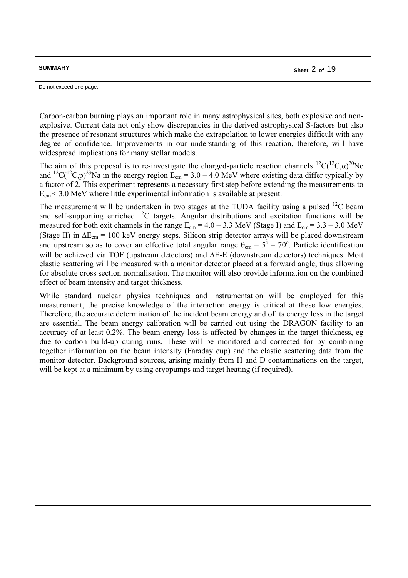| <b>SUMMARY</b> | Sheet 2 of 19 |
|----------------|---------------|
|                |               |

Do not exceed one page.

Carbon-carbon burning plays an important role in many astrophysical sites, both explosive and nonexplosive. Current data not only show discrepancies in the derived astrophysical S-factors but also the presence of resonant structures which make the extrapolation to lower energies difficult with any degree of confidence. Improvements in our understanding of this reaction, therefore, will have widespread implications for many stellar models.

The aim of this proposal is to re-investigate the charged-particle reaction channels  ${}^{12}C({}^{12}C,\alpha)^{20}$ Ne and <sup>12</sup>C(<sup>12</sup>C,p)<sup>23</sup>Na in the energy region  $\widetilde{E}_{cm} = 3.0 - 4.0$  MeV where existing data differ typically by a factor of 2. This experiment represents a necessary first step before extending the measurements to  $E_{cm}$  < 3.0 MeV where little experimental information is available at present.

The measurement will be undertaken in two stages at the TUDA facility using a pulsed  ${}^{12}C$  beam and self-supporting enriched <sup>12</sup>C targets. Angular distributions and excitation functions will be measured for both exit channels in the range  $E_{cm} = 4.0 - 3.3$  MeV (Stage I) and  $E_{cm} = 3.3 - 3.0$  MeV (Stage II) in  $\Delta E_{cm} = 100$  keV energy steps. Silicon strip detector arrays will be placed downstream and upstream so as to cover an effective total angular range  $\theta_{cm} = 5^{\circ} - 70^{\circ}$ . Particle identification will be achieved via TOF (upstream detectors) and ∆E-E (downstream detectors) techniques. Mott elastic scattering will be measured with a monitor detector placed at a forward angle, thus allowing for absolute cross section normalisation. The monitor will also provide information on the combined effect of beam intensity and target thickness.

While standard nuclear physics techniques and instrumentation will be employed for this measurement, the precise knowledge of the interaction energy is critical at these low energies. Therefore, the accurate determination of the incident beam energy and of its energy loss in the target are essential. The beam energy calibration will be carried out using the DRAGON facility to an accuracy of at least 0.2%. The beam energy loss is affected by changes in the target thickness, eg due to carbon build-up during runs. These will be monitored and corrected for by combining together information on the beam intensity (Faraday cup) and the elastic scattering data from the monitor detector. Background sources, arising mainly from H and D contaminations on the target, will be kept at a minimum by using cryopumps and target heating (if required).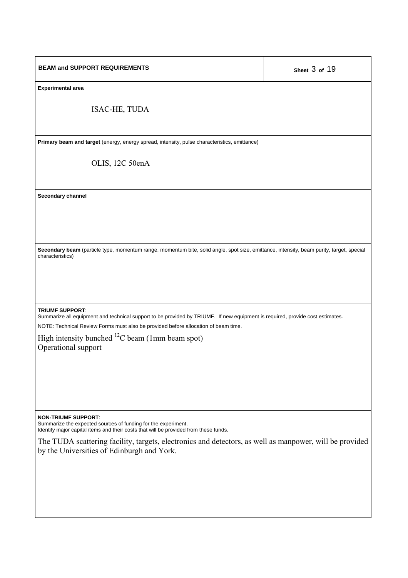| <b>BEAM and SUPPORT REQUIREMENTS</b>                                                                                                                                                                                                          | Sheet 3 of 19 |  |  |  |
|-----------------------------------------------------------------------------------------------------------------------------------------------------------------------------------------------------------------------------------------------|---------------|--|--|--|
| <b>Experimental area</b>                                                                                                                                                                                                                      |               |  |  |  |
| ISAC-HE, TUDA                                                                                                                                                                                                                                 |               |  |  |  |
| Primary beam and target (energy, energy spread, intensity, pulse characteristics, emittance)                                                                                                                                                  |               |  |  |  |
| OLIS, 12C 50enA                                                                                                                                                                                                                               |               |  |  |  |
| Secondary channel                                                                                                                                                                                                                             |               |  |  |  |
|                                                                                                                                                                                                                                               |               |  |  |  |
|                                                                                                                                                                                                                                               |               |  |  |  |
| Secondary beam (particle type, momentum range, momentum bite, solid angle, spot size, emittance, intensity, beam purity, target, special<br>characteristics)                                                                                  |               |  |  |  |
|                                                                                                                                                                                                                                               |               |  |  |  |
|                                                                                                                                                                                                                                               |               |  |  |  |
| <b>TRIUMF SUPPORT:</b><br>Summarize all equipment and technical support to be provided by TRIUMF. If new equipment is required, provide cost estimates.<br>NOTE: Technical Review Forms must also be provided before allocation of beam time. |               |  |  |  |
| High intensity bunched ${}^{12}C$ beam (1mm beam spot)<br>Operational support                                                                                                                                                                 |               |  |  |  |
|                                                                                                                                                                                                                                               |               |  |  |  |
|                                                                                                                                                                                                                                               |               |  |  |  |
|                                                                                                                                                                                                                                               |               |  |  |  |
| <b>NON-TRIUMF SUPPORT:</b>                                                                                                                                                                                                                    |               |  |  |  |
| Summarize the expected sources of funding for the experiment.<br>Identify major capital items and their costs that will be provided from these funds.                                                                                         |               |  |  |  |
| The TUDA scattering facility, targets, electronics and detectors, as well as manpower, will be provided<br>by the Universities of Edinburgh and York.                                                                                         |               |  |  |  |
|                                                                                                                                                                                                                                               |               |  |  |  |
|                                                                                                                                                                                                                                               |               |  |  |  |
|                                                                                                                                                                                                                                               |               |  |  |  |
|                                                                                                                                                                                                                                               |               |  |  |  |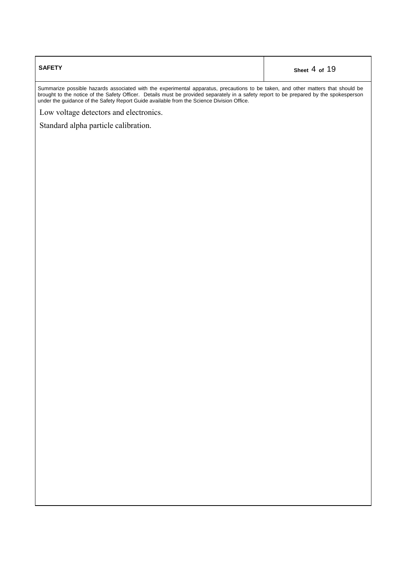| <b>SAFETY</b> | Sheet 4 of 19 |
|---------------|---------------|
|               |               |

Summarize possible hazards associated with the experimental apparatus, precautions to be taken, and other matters that should be brought to the notice of the Safety Officer. Details must be provided separately in a safety report to be prepared by the spokesperson under the guidance of the Safety Report Guide available from the Science Division Office.

Low voltage detectors and electronics.

Standard alpha particle calibration.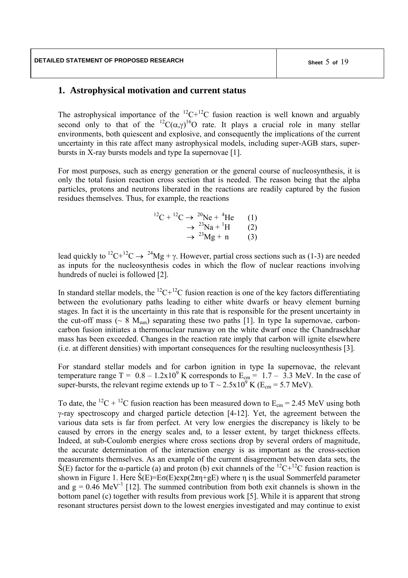# **1. Astrophysical motivation and current status**

The astrophysical importance of the  ${}^{12}C+{}^{12}C$  fusion reaction is well known and arguably second only to that of the <sup>12</sup>C( $\alpha$ , $\gamma$ )<sup>16</sup>O rate. It plays a crucial role in many stellar environments, both quiescent and explosive, and consequently the implications of the current uncertainty in this rate affect many astrophysical models, including super-AGB stars, superbursts in X-ray bursts models and type Ia supernovae [1].

For most purposes, such as energy generation or the general course of nucleosynthesis, it is only the total fusion reaction cross section that is needed. The reason being that the alpha particles, protons and neutrons liberated in the reactions are readily captured by the fusion residues themselves. Thus, for example, the reactions

$$
{}^{12}C + {}^{12}C \rightarrow {}^{20}Ne + {}^{4}He \qquad (1)
$$
  
\n
$$
\rightarrow {}^{23}Na + {}^{1}H \qquad (2)
$$
  
\n
$$
\rightarrow {}^{23}Mg + n \qquad (3)
$$

lead quickly to <sup>12</sup>C+<sup>12</sup>C  $\rightarrow$  <sup>24</sup>Mg + γ. However, partial cross sections such as (1-3) are needed as inputs for the nucleosynthesis codes in which the flow of nuclear reactions involving hundreds of nuclei is followed [2].

In standard stellar models, the  ${}^{12}C+{}^{12}C$  fusion reaction is one of the key factors differentiating between the evolutionary paths leading to either white dwarfs or heavy element burning stages. In fact it is the uncertainty in this rate that is responsible for the present uncertainty in the cut-off mass ( $\sim 8$  M<sub>sun</sub>) separating these two paths [1]. In type Ia supernovae, carboncarbon fusion initiates a thermonuclear runaway on the white dwarf once the Chandrasekhar mass has been exceeded. Changes in the reaction rate imply that carbon will ignite elsewhere (i.e. at different densities) with important consequences for the resulting nucleosynthesis [3].

For standard stellar models and for carbon ignition in type Ia supernovae, the relevant temperature range T =  $0.8 - 1.2 \times 10^9$  K corresponds to E<sub>cm</sub> = 1.7 – 3.3 MeV. In the case of super-bursts, the relevant regime extends up to  $T \sim 2.5 \times 10^9$  K (E<sub>cm</sub> = 5.7 MeV).

To date, the <sup>12</sup>C + <sup>12</sup>C fusion reaction has been measured down to  $E_{cm} = 2.45$  MeV using both γ-ray spectroscopy and charged particle detection [4-12]. Yet, the agreement between the various data sets is far from perfect. At very low energies the discrepancy is likely to be caused by errors in the energy scales and, to a lesser extent, by target thickness effects. Indeed, at sub-Coulomb energies where cross sections drop by several orders of magnitude, the accurate determination of the interaction energy is as important as the cross-section measurements themselves. As an example of the current disagreement between data sets, the  $\hat{S}(E)$  factor for the α-particle (a) and proton (b) exit channels of the <sup>12</sup>C+<sup>12</sup>C fusion reaction is shown in Figure 1. Here  $\hat{S}(E)=E\sigma(E)exp(2\pi n+gE)$  where n is the usual Sommerfeld parameter and  $g = 0.46 \text{ MeV}^{-1}$  [12]. The summed contribution from both exit channels is shown in the bottom panel (c) together with results from previous work [5]. While it is apparent that strong resonant structures persist down to the lowest energies investigated and may continue to exist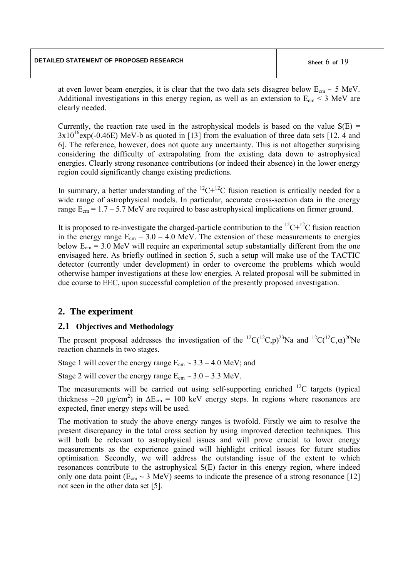at even lower beam energies, it is clear that the two data sets disagree below  $E_{cm} \sim 5$  MeV. Additional investigations in this energy region, as well as an extension to  $E_{cm}$  < 3 MeV are clearly needed.

Currently, the reaction rate used in the astrophysical models is based on the value  $S(E)$  =  $3x10^{16}$ exp(-0.46E) MeV-b as quoted in [13] from the evaluation of three data sets [12, 4 and 6]. The reference, however, does not quote any uncertainty. This is not altogether surprising considering the difficulty of extrapolating from the existing data down to astrophysical energies. Clearly strong resonance contributions (or indeed their absence) in the lower energy region could significantly change existing predictions.

In summary, a better understanding of the  ${}^{12}C+{}^{12}C$  fusion reaction is critically needed for a wide range of astrophysical models. In particular, accurate cross-section data in the energy range  $E_{cm} = 1.7 - 5.7$  MeV are required to base astrophysical implications on firmer ground.

It is proposed to re-investigate the charged-particle contribution to the  $^{12}C+^{12}C$  fusion reaction in the energy range  $E_{cm} = 3.0 - 4.0$  MeV. The extension of these measurements to energies below  $E_{cm} = 3.0$  MeV will require an experimental setup substantially different from the one envisaged here. As briefly outlined in section 5, such a setup will make use of the TACTIC detector (currently under development) in order to overcome the problems which would otherwise hamper investigations at these low energies. A related proposal will be submitted in due course to EEC, upon successful completion of the presently proposed investigation.

# **2. The experiment**

## **2.1 Objectives and Methodology**

The present proposal addresses the investigation of the  ${}^{12}C({}^{12}C,p){}^{23}Na$  and  ${}^{12}C({}^{12}C,\alpha)^{20}Ne$ reaction channels in two stages.

Stage 1 will cover the energy range  $E_{cm} \sim 3.3 - 4.0$  MeV; and

Stage 2 will cover the energy range  $E_{cm} \sim 3.0 - 3.3$  MeV.

The measurements will be carried out using self-supporting enriched  $^{12}C$  targets (typical thickness ~20  $\mu$ g/cm<sup>2</sup>) in  $\Delta E_{cm} = 100$  keV energy steps. In regions where resonances are expected, finer energy steps will be used.

The motivation to study the above energy ranges is twofold. Firstly we aim to resolve the present discrepancy in the total cross section by using improved detection techniques. This will both be relevant to astrophysical issues and will prove crucial to lower energy measurements as the experience gained will highlight critical issues for future studies optimisation. Secondly, we will address the outstanding issue of the extent to which resonances contribute to the astrophysical S(E) factor in this energy region, where indeed only one data point ( $E_{cm} \sim 3$  MeV) seems to indicate the presence of a strong resonance [12] not seen in the other data set [5].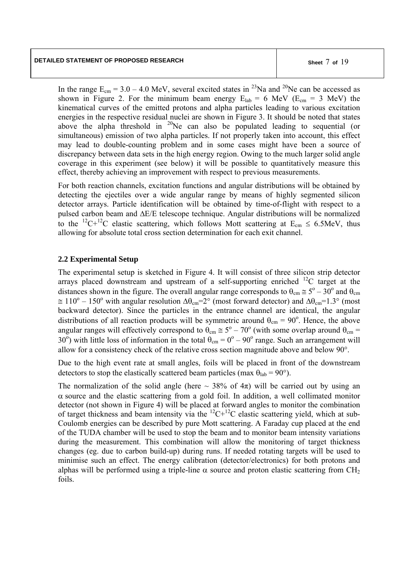In the range  $E_{cm} = 3.0 - 4.0$  MeV, several excited states in <sup>23</sup>Na and <sup>20</sup>Ne can be accessed as shown in Figure 2. For the minimum beam energy  $E_{lab} = 6$  MeV ( $E_{cm} = 3$  MeV) the kinematical curves of the emitted protons and alpha particles leading to various excitation energies in the respective residual nuclei are shown in Figure 3. It should be noted that states above the alpha threshold in  $^{20}$ Ne can also be populated leading to sequential (or simultaneous) emission of two alpha particles. If not properly taken into account, this effect may lead to double-counting problem and in some cases might have been a source of discrepancy between data sets in the high energy region. Owing to the much larger solid angle coverage in this experiment (see below) it will be possible to quantitatively measure this effect, thereby achieving an improvement with respect to previous measurements.

For both reaction channels, excitation functions and angular distributions will be obtained by detecting the ejectiles over a wide angular range by means of highly segmented silicon detector arrays. Particle identification will be obtained by time-of-flight with respect to a pulsed carbon beam and ∆E/E telescope technique. Angular distributions will be normalized to the <sup>12</sup>C+<sup>12</sup>C elastic scattering, which follows Mott scattering at  $E_{cm} \le 6.5$ MeV, thus allowing for absolute total cross section determination for each exit channel.

## **2.2 Experimental Setup**

The experimental setup is sketched in Figure 4. It will consist of three silicon strip detector arrays placed downstream and upstream of a self-supporting enriched  ${}^{12}C$  target at the distances shown in the figure. The overall angular range corresponds to  $\theta_{cm} \approx 5^{\circ} - 30^{\circ}$  and  $\theta_{cm}$  $\approx 110^{\circ} - 150^{\circ}$  with angular resolution  $\Delta\theta_{cm} = 2^{\circ}$  (most forward detector) and  $\Delta\theta_{cm} = 1.3^{\circ}$  (most backward detector). Since the particles in the entrance channel are identical, the angular distributions of all reaction products will be symmetric around  $\theta_{cm} = 90^{\circ}$ . Hence, the above angular ranges will effectively correspond to  $\theta_{cm} \approx 5^{\circ} - 70^{\circ}$  (with some overlap around  $\theta_{cm} =$ 30°) with little loss of information in the total  $\theta_{cm} = 0^{\circ} - 90^{\circ}$  range. Such an arrangement will allow for a consistency check of the relative cross section magnitude above and below 90°.

Due to the high event rate at small angles, foils will be placed in front of the downstream detectors to stop the elastically scattered beam particles (max  $\theta_{lab} = 90^{\circ}$ ).

The normalization of the solid angle (here  $\sim$  38% of 4 $\pi$ ) will be carried out by using an  $\alpha$  source and the elastic scattering from a gold foil. In addition, a well collimated monitor detector (not shown in Figure 4) will be placed at forward angles to monitor the combination of target thickness and beam intensity via the  ${}^{12}C+{}^{12}C$  elastic scattering yield, which at sub-Coulomb energies can be described by pure Mott scattering. A Faraday cup placed at the end of the TUDA chamber will be used to stop the beam and to monitor beam intensity variations during the measurement. This combination will allow the monitoring of target thickness changes (eg. due to carbon build-up) during runs. If needed rotating targets will be used to minimise such an effect. The energy calibration (detector/electronics) for both protons and alphas will be performed using a triple-line  $\alpha$  source and proton elastic scattering from CH<sub>2</sub> foils.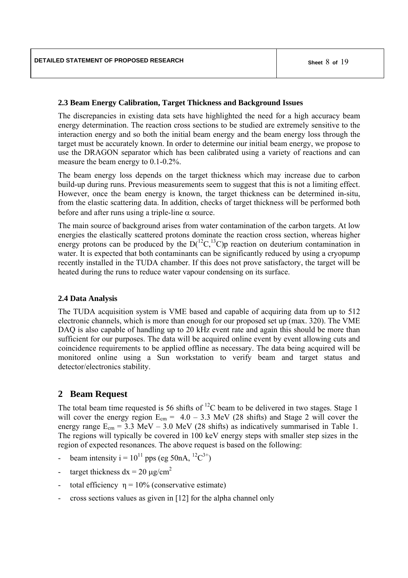#### **2.3 Beam Energy Calibration, Target Thickness and Background Issues**

The discrepancies in existing data sets have highlighted the need for a high accuracy beam energy determination. The reaction cross sections to be studied are extremely sensitive to the interaction energy and so both the initial beam energy and the beam energy loss through the target must be accurately known. In order to determine our initial beam energy, we propose to use the DRAGON separator which has been calibrated using a variety of reactions and can measure the beam energy to 0.1-0.2%.

The beam energy loss depends on the target thickness which may increase due to carbon build-up during runs. Previous measurements seem to suggest that this is not a limiting effect. However, once the beam energy is known, the target thickness can be determined in-situ, from the elastic scattering data. In addition, checks of target thickness will be performed both before and after runs using a triple-line  $\alpha$  source.

The main source of background arises from water contamination of the carbon targets. At low energies the elastically scattered protons dominate the reaction cross section, whereas higher energy protons can be produced by the  $D(^{12}C, ^{13}C)p$  reaction on deuterium contamination in water. It is expected that both contaminants can be significantly reduced by using a cryopump recently installed in the TUDA chamber. If this does not prove satisfactory, the target will be heated during the runs to reduce water vapour condensing on its surface.

### **2.4 Data Analysis**

The TUDA acquisition system is VME based and capable of acquiring data from up to 512 electronic channels, which is more than enough for our proposed set up (max. 320). The VME DAQ is also capable of handling up to 20 kHz event rate and again this should be more than sufficient for our purposes. The data will be acquired online event by event allowing cuts and coincidence requirements to be applied offline as necessary. The data being acquired will be monitored online using a Sun workstation to verify beam and target status and detector/electronics stability.

## **2 Beam Request**

The total beam time requested is 56 shifts of  $^{12}$ C beam to be delivered in two stages. Stage 1 will cover the energy region  $E_{cm} = 4.0 - 3.3$  MeV (28 shifts) and Stage 2 will cover the energy range  $E_{cm} = 3.3 \text{ MeV} - 3.0 \text{ MeV}$  (28 shifts) as indicatively summarised in Table 1. The regions will typically be covered in 100 keV energy steps with smaller step sizes in the region of expected resonances. The above request is based on the following:

- beam intensity i =  $10^{11}$  pps (eg 50nA,  $^{12}C^{3+}$ )
- target thickness  $dx = 20 \mu g/cm^2$
- total efficiency  $n = 10%$  (conservative estimate)
- cross sections values as given in [12] for the alpha channel only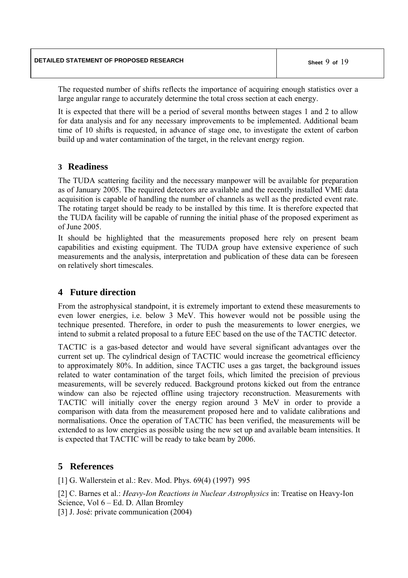The requested number of shifts reflects the importance of acquiring enough statistics over a large angular range to accurately determine the total cross section at each energy.

It is expected that there will be a period of several months between stages 1 and 2 to allow for data analysis and for any necessary improvements to be implemented. Additional beam time of 10 shifts is requested, in advance of stage one, to investigate the extent of carbon build up and water contamination of the target, in the relevant energy region.

# **3 Readiness**

The TUDA scattering facility and the necessary manpower will be available for preparation as of January 2005. The required detectors are available and the recently installed VME data acquisition is capable of handling the number of channels as well as the predicted event rate. The rotating target should be ready to be installed by this time. It is therefore expected that the TUDA facility will be capable of running the initial phase of the proposed experiment as of June 2005.

It should be highlighted that the measurements proposed here rely on present beam capabilities and existing equipment. The TUDA group have extensive experience of such measurements and the analysis, interpretation and publication of these data can be foreseen on relatively short timescales.

# **4 Future direction**

From the astrophysical standpoint, it is extremely important to extend these measurements to even lower energies, i.e. below 3 MeV. This however would not be possible using the technique presented. Therefore, in order to push the measurements to lower energies, we intend to submit a related proposal to a future EEC based on the use of the TACTIC detector.

TACTIC is a gas-based detector and would have several significant advantages over the current set up. The cylindrical design of TACTIC would increase the geometrical efficiency to approximately 80%. In addition, since TACTIC uses a gas target, the background issues related to water contamination of the target foils, which limited the precision of previous measurements, will be severely reduced. Background protons kicked out from the entrance window can also be rejected offline using trajectory reconstruction. Measurements with TACTIC will initially cover the energy region around 3 MeV in order to provide a comparison with data from the measurement proposed here and to validate calibrations and normalisations. Once the operation of TACTIC has been verified, the measurements will be extended to as low energies as possible using the new set up and available beam intensities. It is expected that TACTIC will be ready to take beam by 2006.

# **5 References**

[1] G. Wallerstein et al.: Rev. Mod. Phys. 69(4) (1997) 995

[2] C. Barnes et al.: *Heavy-Ion Reactions in Nuclear Astrophysics* in: Treatise on Heavy-Ion Science, Vol 6 – Ed. D. Allan Bromley

[3] J. José: private communication (2004)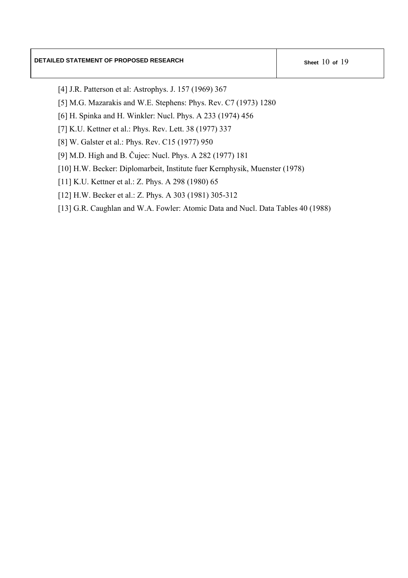- [4] J.R. Patterson et al: Astrophys. J. 157 (1969) 367
- [5] M.G. Mazarakis and W.E. Stephens: Phys. Rev. C7 (1973) 1280
- [6] H. Spinka and H. Winkler: Nucl. Phys. A 233 (1974) 456
- [7] K.U. Kettner et al.: Phys. Rev. Lett. 38 (1977) 337
- [8] W. Galster et al.: Phys. Rev. C15 (1977) 950
- [9] M.D. High and B. Čujec: Nucl. Phys. A 282 (1977) 181
- [10] H.W. Becker: Diplomarbeit, Institute fuer Kernphysik, Muenster (1978)
- [11] K.U. Kettner et al.: Z. Phys. A 298 (1980) 65
- [12] H.W. Becker et al.: Z. Phys. A 303 (1981) 305-312
- [13] G.R. Caughlan and W.A. Fowler: Atomic Data and Nucl. Data Tables 40 (1988)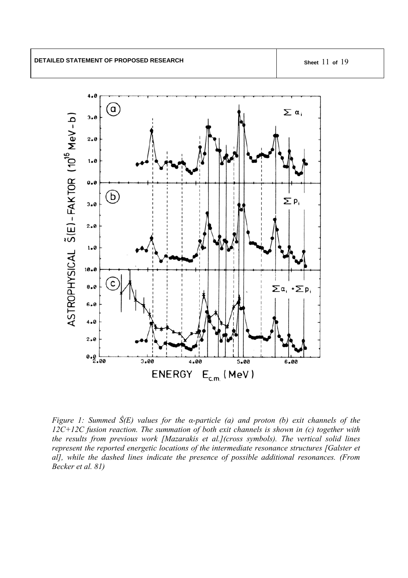

*Figure 1: Summed Ŝ(E) values for the α-particle (a) and proton (b) exit channels of the 12C+12C fusion reaction. The summation of both exit channels is shown in (c) together with the results from previous work [Mazarakis et al.](cross symbols). The vertical solid lines represent the reported energetic locations of the intermediate resonance structures [Galster et al], while the dashed lines indicate the presence of possible additional resonances. (From Becker et al. 81)*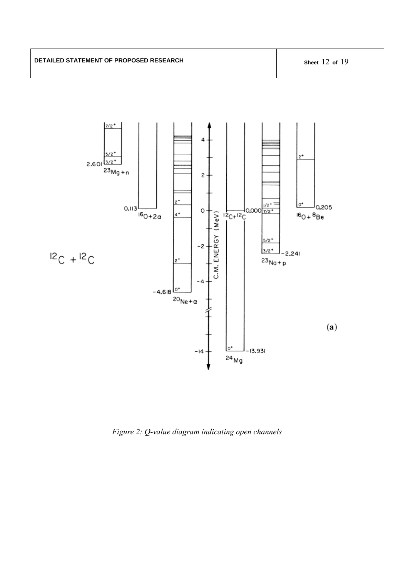

*Figure 2: Q-value diagram indicating open channels*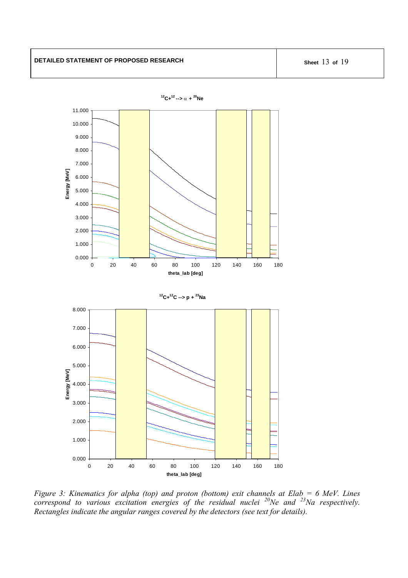

*Figure 3: Kinematics for alpha (top) and proton (bottom) exit channels at Elab = 6 MeV. Lines correspond to various excitation energies of the residual nuclei 20Ne and 23Na respectively. Rectangles indicate the angular ranges covered by the detectors (see text for details).*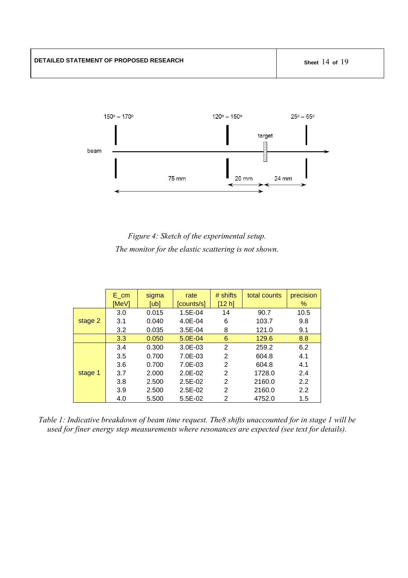

*Figure 4: Sketch of the experimental setup. The monitor for the elastic scattering is not shown.* 

|         | $E_{cm}$<br>[MeV] | sigma<br>[ub] | rate<br>[counts/s] | $#$ shifts<br>[12 h] | total counts | precision<br>% |
|---------|-------------------|---------------|--------------------|----------------------|--------------|----------------|
|         | 3.0               | 0.015         | $1.5E - 04$        | 14                   | 90.7         | 10.5           |
| stage 2 | 3.1               | 0.040         | 4.0E-04            | 6                    | 103.7        | 9.8            |
|         | 3.2               | 0.035         | $3.5E-04$          | 8                    | 121.0        | 9.1            |
|         | 3.3               | 0.050         | $5.0E - 04$        | 6                    | 129.6        | 8.8            |
|         | 3.4               | 0.300         | $3.0E - 03$        | $\overline{2}$       | 259.2        | 6.2            |
|         | 3.5               | 0.700         | 7.0E-03            | 2                    | 604.8        | 4.1            |
|         | 3.6               | 0.700         | 7.0E-03            | 2                    | 604.8        | 4.1            |
| stage 1 | 3.7               | 2.000         | $2.0E - 02$        | 2                    | 1728.0       | 2.4            |
|         | 3.8               | 2.500         | $2.5E-02$          | 2                    | 2160.0       | 2.2            |
|         | 3.9               | 2.500         | $2.5E-02$          | 2                    | 2160.0       | 2.2            |
|         | 4.0               | 5.500         | $5.5E-02$          | 2                    | 4752.0       | 1.5            |

*Table 1: Indicative breakdown of beam time request. The8 shifts unaccounted for in stage 1 will be used for finer energy step measurements where resonances are expected (see text for details).*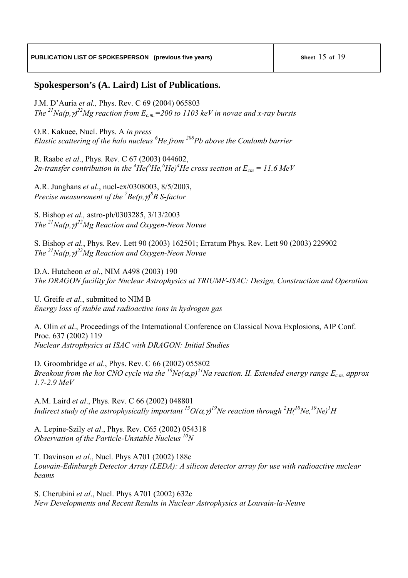# **Spokesperson's (A. Laird) List of Publications.**

J.M. D'Auria *et al.,* Phys. Rev. C 69 (2004) 065803 *The* <sup>21</sup> $Na(p, \gamma)^{22}$ *Mg reaction from E<sub>c.m.</sub>=200 to 1103 keV in novae and x-ray bursts* 

O.R. Kakuee, Nucl. Phys. A *in press Elastic scattering of the halo nucleus 6 He from 208Pb above the Coulomb barrier* 

R. Raabe *et al*., Phys. Rev. C 67 (2003) 044602, 2*n*-transfer contribution in the <sup>4</sup>He(<sup>6</sup>He,<sup>6</sup>He)<sup>4</sup>He cross section at  $E_{cm} = 11.6$  MeV

A.R. Junghans *et al*., nucl-ex/0308003, 8/5/2003, *Precise measurement of the 7 Be(p,*γ*) 8 B S-factor* 

S. Bishop *et al.,* astro-ph/0303285, 3/13/2003 *The 21Na(p,*γ*) 22Mg Reaction and Oxygen-Neon Novae* 

S. Bishop *et al.*, Phys. Rev. Lett 90 (2003) 162501; Erratum Phys. Rev. Lett 90 (2003) 229902 *The 21Na(p,*γ*) 22Mg Reaction and Oxygen-Neon Novae* 

D.A. Hutcheon *et al*., NIM A498 (2003) 190 *The DRAGON facility for Nuclear Astrophysics at TRIUMF-ISAC: Design, Construction and Operation* 

U. Greife *et al.*, submitted to NIM B *Energy loss of stable and radioactive ions in hydrogen gas* 

A. Olin *et al*., Proceedings of the International Conference on Classical Nova Explosions, AIP Conf. Proc. 637 (2002) 119 *Nuclear Astrophysics at ISAC with DRAGON: Initial Studies* 

D. Groombridge *et al*., Phys. Rev. C 66 (2002) 055802 *Breakout from the hot CNO cycle via the <sup>18</sup>Ne(* $\alpha$ *,p)*<sup>21</sup>Na reaction. II. Extended energy range  $E_{c,m}$  approx *1.7-2.9 MeV* 

A.M. Laird *et al*., Phys. Rev. C 66 (2002) 048801 *Indirect study of the astrophysically important*  ${}^{15}O(\alpha, \gamma$ *<sup>19</sup>Ne reaction through*  ${}^{2}H(^{18}Ne, {}^{19}Ne)^{1}H$ 

A. Lepine-Szily *et al*., Phys. Rev. C65 (2002) 054318 *Observation of the Particle-Unstable Nucleus 10N* 

T. Davinson *et al*., Nucl. Phys A701 (2002) 188c *Louvain-Edinburgh Detector Array (LEDA): A silicon detector array for use with radioactive nuclear beams* 

S. Cherubini *et al*., Nucl. Phys A701 (2002) 632c *New Developments and Recent Results in Nuclear Astrophysics at Louvain-la-Neuve*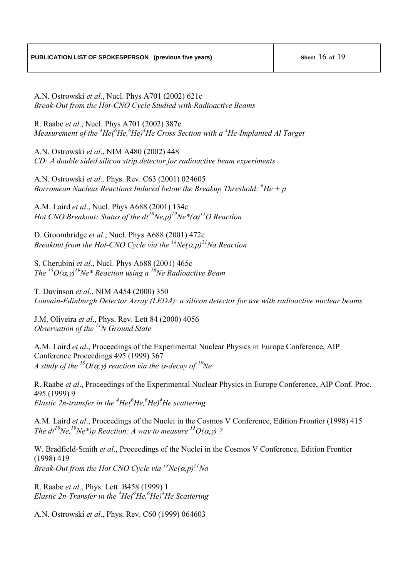A.N. Ostrowski *et al*., Nucl. Phys A701 (2002) 621c *Break-Out from the Hot-CNO Cycle Studied with Radioactive Beams* 

R. Raabe *et al*., Nucl. Phys A701 (2002) 387c *Measurement of the <sup>4</sup>He(<sup>6</sup>He,<sup>6</sup>He)<sup>4</sup>He Cross Section with a <sup>4</sup>He-Implanted Al Target* 

A.N. Ostrowski *et al*., NIM A480 (2002) 448 *CD: A double sided silicon strip detector for radioactive beam experiments* 

A.N. Ostrowski *et al.,* Phys. Rev. C63 (2001) 024605 *Borromean Nucleus Reactions Induced below the Breakup Threshold: 6 He + p* 

A.M. Laird *et al*., Nucl. Phys A688 (2001) 134c *Hot CNO Breakout: Status of the d(18Ne,p)19Ne\*(*α*) 15O Reaction* 

D. Groombridge *et al*., Nucl. Phys A688 (2001) 472c *Breakout from the Hot-CNO Cycle via the*  $^{18}Ne(\alpha, p)^{21}Na$  Reaction

S. Cherubini *et al*., Nucl. Phys A688 (2001) 465c *The* <sup>*15*</sup> $O(\alpha, \gamma)$ <sup>*19</sup>Ne\* Reaction using a <sup>18</sup>Ne Radioactive Beam*</sup>

T. Davinson *et al*., NIM A454 (2000) 350 *Louvain-Edinburgh Detector Array (LEDA): a silicon detector for use with radioactive nuclear beams* 

J.M. Oliveira *et al*., Phys. Rev. Lett 84 (2000) 4056 *Observation of the 11N Ground State* 

A.M. Laird *et al*., Proceedings of the Experimental Nuclear Physics in Europe Conference, AIP Conference Proceedings 495 (1999) 367 *A study of the <sup>15</sup>O(* $\alpha$ *,γ) reaction via the*  $\alpha$ *-decay of <sup>19</sup>Ne* 

R. Raabe *et al*., Proceedings of the Experimental Nuclear Physics in Europe Conference, AIP Conf. Proc. 495 (1999) 9 *Elastic 2n-transfer in the <sup>4</sup> He(6 He,6 He)4 He scattering* 

A.M. Laird *et al*., Proceedings of the Nuclei in the Cosmos V Conference, Edition Frontier (1998) 415 *The d*<sup> $^{18}$ Ne,<sup>19</sup>Ne\*)p Reaction: A way to measure <sup>15</sup>O( $\alpha$ , $\gamma$ ) ?</sup>

W. Bradfield-Smith *et al*., Proceedings of the Nuclei in the Cosmos V Conference, Edition Frontier (1998) 419 *Break-Out from the Hot CNO Cycle via*  $^{18}$ Ne( $\alpha$ ,p)<sup>21</sup>Na

R. Raabe *et al*., Phys. Lett. B458 (1999) 1 *Elastic 2n-Transfer in the <sup>4</sup> He(6 He,<sup>6</sup> He)4 He Scattering* 

A.N. Ostrowski *et al*., Phys. Rev. C60 (1999) 064603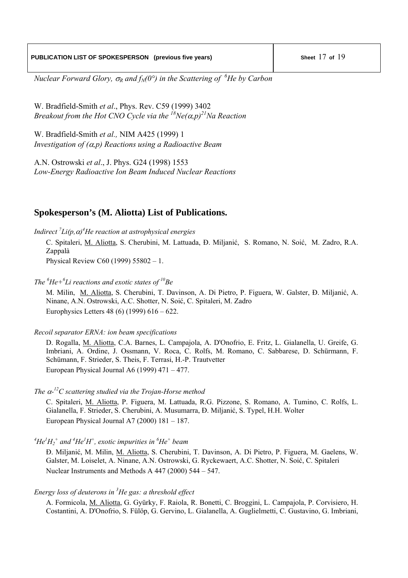*Nuclear Forward Glory,*  $\sigma_R$  *and f<sub>N</sub>(0°) in the Scattering of <sup>6</sup>He by Carbon* 

W. Bradfield-Smith *et al*., Phys. Rev. C59 (1999) 3402 *Breakout from the Hot CNO Cycle via the*  $^{18}$ Ne( $\alpha$ ,p)<sup>21</sup>Na Reaction

W. Bradfield-Smith *et al.,* NIM A425 (1999) 1 *Investigation of (*α*,p) Reactions using a Radioactive Beam* 

A.N. Ostrowski *et al*., J. Phys. G24 (1998) 1553 *Low-Energy Radioactive Ion Beam Induced Nuclear Reactions* 

# **Spokesperson's (M. Aliotta) List of Publications.**

*Indirect 7 Li(p,*α*) 4 He reaction at astrophysical energies*

C. Spitaleri, M. Aliotta, S. Cherubini, M. Lattuada, Ð. Miljanić, S. Romano, N. Soić, M. Zadro, R.A. Zappalà

Physical Review C60 (1999) 55802 – 1.

*The <sup>6</sup> He+6 Li reactions and exotic states of 10Be* 

M. Milin, M. Aliotta, S. Cherubini, T. Davinson, A. Di Pietro, P. Figuera, W. Galster, Ð. Miljanić, A. Ninane, A.N. Ostrowski, A.C. Shotter, N. Soić, C. Spitaleri, M. Zadro Europhysics Letters 48 (6) (1999) 616 – 622.

#### *Recoil separator ERNA: ion beam specifications*

D. Rogalla, M. Aliotta, C.A. Barnes, L. Campajola, A. D'Onofrio, E. Fritz, L. Gialanella, U. Greife, G. Imbriani, A. Ordine, J. Ossmann, V. Roca, C. Rolfs, M. Romano, C. Sabbarese, D. Schürmann, F. Schümann, F. Strieder, S. Theis, F. Terrasi, H.-P. Trautvetter European Physical Journal A6 (1999) 471 – 477.

### *The* α*-12C scattering studied via the Trojan-Horse method*

C. Spitaleri, M. Aliotta, P. Figuera, M. Lattuada, R.G. Pizzone, S. Romano, A. Tumino, C. Rolfs, L. Gialanella, F. Strieder, S. Cherubini, A. Musumarra, Ð. Miljanić, S. Typel, H.H. Wolter European Physical Journal A7 (2000) 181 – 187.

 $^{4}He^{1}H_{2}^{+}$  and  $^{4}He^{1}H^{+}$ , exotic impurities in  $^{6}He^{+}$  beam

Ð. Miljanić, M. Milin, M. Aliotta, S. Cherubini, T. Davinson, A. Di Pietro, P. Figuera, M. Gaelens, W. Galster, M. Loiselet, A. Ninane, A.N. Ostrowski, G. Ryckewaert, A.C. Shotter, N. Soić, C. Spitaleri Nuclear Instruments and Methods A 447 (2000) 544 – 547.

## *Energy loss of deuterons in 3 He gas: a threshold effect*

A. Formicola, M. Aliotta, G. Gyürky, F. Raiola, R. Bonetti, C. Broggini, L. Campajola, P. Corvisiero, H. Costantini, A. D'Onofrio, S. Fülöp, G. Gervino, L. Gialanella, A. Guglielmetti, C. Gustavino, G. Imbriani,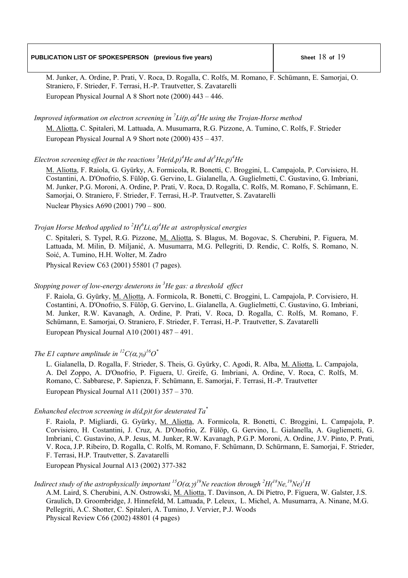## **PUBLICATION LIST OF SPOKESPERSON** (previous five years) Sheet 18 of 19

M. Junker, A. Ordine, P. Prati, V. Roca, D. Rogalla, C. Rolfs, M. Romano, F. Schümann, E. Samorjai, O. Straniero, F. Strieder, F. Terrasi, H.-P. Trautvetter, S. Zavatarelli European Physical Journal A 8 Short note (2000) 443 – 446.

*Improved information on electron screening in*  $^{7}Li(p,\alpha)^{4}$ *He using the Trojan-Horse method* 

M. Aliotta, C. Spitaleri, M. Lattuada, A. Musumarra, R.G. Pizzone, A. Tumino, C. Rolfs, F. Strieder European Physical Journal A 9 Short note (2000) 435 – 437.

### *Electron screening effect in the reactions*  ${}^{3}He(d,p)^{4}He$  and  $d({}^{3}He,p)^{4}He$

M. Aliotta, F. Raiola, G. Gyürky, A. Formicola, R. Bonetti, C. Broggini, L. Campajola, P. Corvisiero, H. Costantini, A. D'Onofrio, S. Fülöp, G. Gervino, L. Gialanella, A. Guglielmetti, C. Gustavino, G. Imbriani, M. Junker, P.G. Moroni, A. Ordine, P. Prati, V. Roca, D. Rogalla, C. Rolfs, M. Romano, F. Schümann, E. Samorjai, O. Straniero, F. Strieder, F. Terrasi, H.-P. Trautvetter, S. Zavatarelli Nuclear Physics A690 (2001) 790 – 800.

### *Trojan Horse Method applied to*  ${}^{2}H({}^{6}Li, \alpha)^{4}He$  at astrophysical energies

C. Spitaleri, S. Typel, R.G. Pizzone, M. Aliotta, S. Blagus, M. Bogovac, S. Cherubini, P. Figuera, M. Lattuada, M. Milin, Ð. Miljanić, A. Musumarra, M.G. Pellegriti, D. Rendic, C. Rolfs, S. Romano, N. Soić, A. Tumino, H.H. Wolter, M. Zadro

Physical Review C63 (2001) 55801 (7 pages).

### *Stopping power of low-energy deuterons in 3 He gas: a threshold effect*

F. Raiola, G. Gyürky, M. Aliotta, A. Formicola, R. Bonetti, C. Broggini, L. Campajola, P. Corvisiero, H. Costantini, A. D'Onofrio, S. Fülöp, G. Gervino, L. Gialanella, A. Guglielmetti, C. Gustavino, G. Imbriani, M. Junker, R.W. Kavanagh, A. Ordine, P. Prati, V. Roca, D. Rogalla, C. Rolfs, M. Romano, F. Schümann, E. Samorjai, O. Straniero, F. Strieder, F. Terrasi, H.-P. Trautvetter, S. Zavatarelli European Physical Journal A10 (2001) 487 – 491.

## *The E1 capture amplitude in*  $^{12}C(\alpha, \gamma_0)^{16}O^*$

L. Gialanella, D. Rogalla, F. Strieder, S. Theis, G. Gyürky, C. Agodi, R. Alba, M. Aliotta, L. Campajola, A. Del Zoppo, A. D'Onofrio, P. Figuera, U. Greife, G. Imbriani, A. Ordine, V. Roca, C. Rolfs, M. Romano, C. Sabbarese, P. Sapienza, F. Schümann, E. Samorjai, F. Terrasi, H.-P. Trautvetter European Physical Journal A11 (2001) 357 – 370.

### *Enhanched electron screening in d(d,p)t for deuterated Ta\**

F. Raiola, P. Migliardi, G. Gyürky, M. Aliotta, A. Formicola, R. Bonetti, C. Broggini, L. Campajola, P. Corvisiero, H. Costantini, J. Cruz, A. D'Onofrio, Z. Fülöp, G. Gervino, L. Gialanella, A. Gugliemetti, G. Imbriani, C. Gustavino, A.P. Jesus, M. Junker, R.W. Kavanagh, P.G.P. Moroni, A. Ordine, J.V. Pinto, P. Prati, V. Roca, J.P. Ribeiro, D. Rogalla, C. Rolfs, M. Romano, F. Schümann, D. Schürmann, E. Samorjai, F. Strieder, F. Terrasi, H.P. Trautvetter, S. Zavatarelli

European Physical Journal A13 (2002) 377-382

### *Indirect study of the astrophysically important*  ${}^{15}O(\alpha, \gamma)^{19}$ *Ne reaction through*  ${}^{2}H(^{18}Ne, {}^{19}Ne)^{1}H$

A.M. Laird, S. Cherubini, A.N. Ostrowski, M. Aliotta, T. Davinson, A. Di Pietro, P. Figuera, W. Galster, J.S. Graulich, D. Groombridge, J. Hinnefeld, M. Lattuada, P. Leleux, L. Michel, A. Musumarra, A. Ninane, M.G. Pellegriti, A.C. Shotter, C. Spitaleri, A. Tumino, J. Vervier, P.J. Woods Physical Review C66 (2002) 48801 (4 pages)